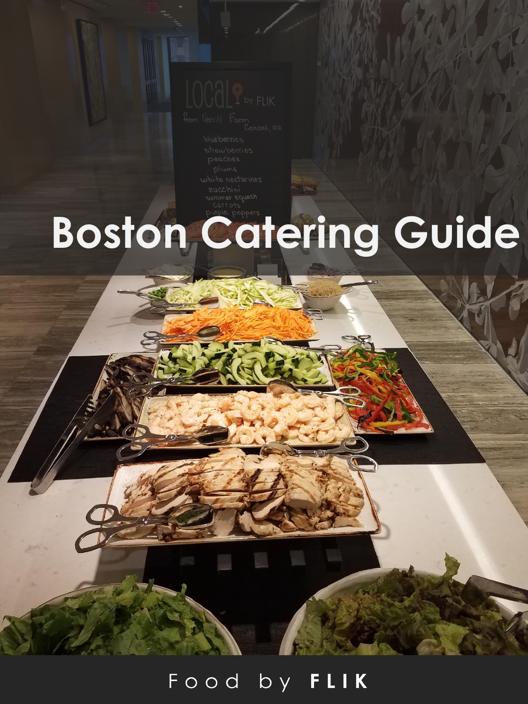

# **Boston Catering Guide**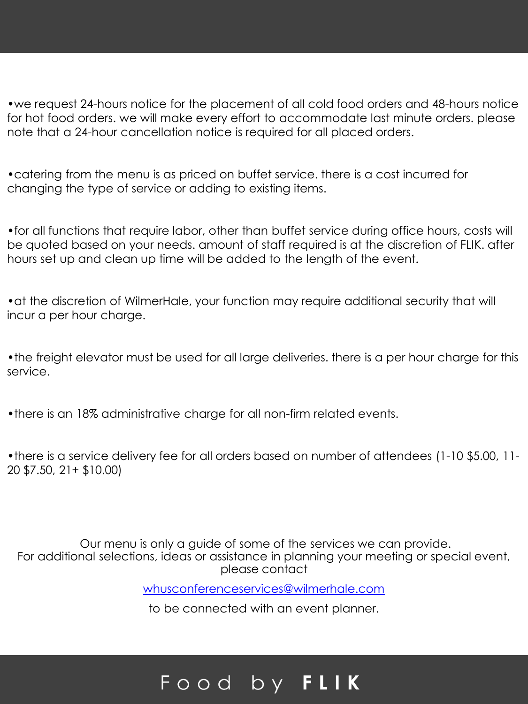•we request 24-hours notice for the placement of all cold food orders and 48-hours notice for hot food orders. we will make every effort to accommodate last minute orders. please note that a 24-hour cancellation notice is required for all placed orders.

•catering from the menu is as priced on buffet service. there is a cost incurred for changing the type of service or adding to existing items.

•for all functions that require labor, other than buffet service during office hours, costs will be quoted based on your needs. amount of staff required is at the discretion of FLIK. after hours set up and clean up time will be added to the length of the event.

•at the discretion of WilmerHale, your function may require additional security that will incur a per hour charge.

•the freight elevator must be used for all large deliveries. there is a per hour charge for this service.

•there is an 18% administrative charge for all non-firm related events.

•there is a service delivery fee for all orders based on number of attendees (1-10 \$5.00, 11- 20 \$7.50, 21+ \$10.00)

Our menu is only a guide of some of the services we can provide. For additional selections, ideas or assistance in planning your meeting or special event, please contact

[whusconferenceservices@wilmerhale.com](mailto:whusconferenceservices@wilmerhale.com)

to be connected with an event planner.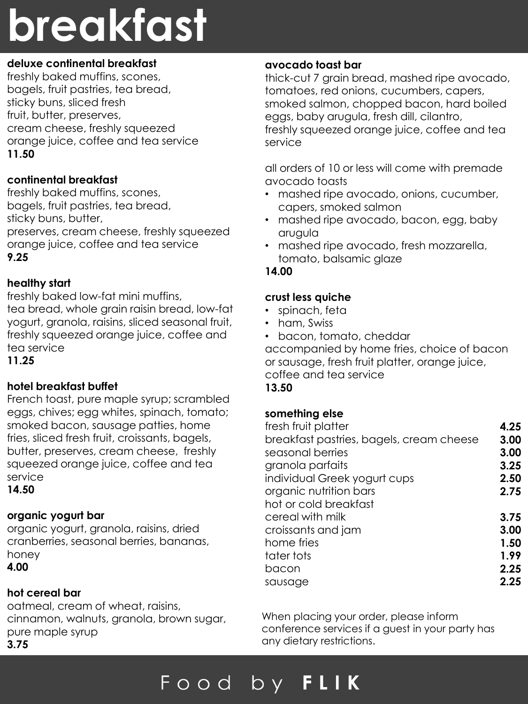## **breakfast**

#### **deluxe continental breakfast**

freshly baked muffins, scones, bagels, fruit pastries, tea bread, sticky buns, sliced fresh fruit, butter, preserves, cream cheese, freshly squeezed orange juice, coffee and tea service **11.50**

#### **continental breakfast**

freshly baked muffins, scones, bagels, fruit pastries, tea bread, sticky buns, butter,

preserves, cream cheese, freshly squeezed orange juice, coffee and tea service **9.25**

#### **healthy start**

freshly baked low-fat mini muffins, tea bread, whole grain raisin bread, low-fat yogurt, granola, raisins, sliced seasonal fruit, freshly squeezed orange juice, coffee and

tea service

#### **11.25**

#### **hotel breakfast buffet**

French toast, pure maple syrup; scrambled eggs, chives; egg whites, spinach, tomato; smoked bacon, sausage patties, home fries, sliced fresh fruit, croissants, bagels, butter, preserves, cream cheese, freshly squeezed orange juice, coffee and tea service

**14.50**

#### **organic yogurt bar**

organic yogurt, granola, raisins, dried cranberries, seasonal berries, bananas, honey **4.00**

#### **hot cereal bar**

oatmeal, cream of wheat, raisins, cinnamon, walnuts, granola, brown sugar, pure maple syrup **3.75**

#### **avocado toast bar**

thick-cut 7 grain bread, mashed ripe avocado, tomatoes, red onions, cucumbers, capers, smoked salmon, chopped bacon, hard boiled eggs, baby arugula, fresh dill, cilantro, freshly squeezed orange juice, coffee and tea service

all orders of 10 or less will come with premade avocado toasts

- mashed ripe avocado, onions, cucumber, capers, smoked salmon
- mashed ripe avocado, bacon, egg, baby arugula
- mashed ripe avocado, fresh mozzarella, tomato, balsamic glaze

#### **14.00**

#### **crust less quiche**

- spinach, feta
- ham, Swiss
- bacon, tomato, cheddar

accompanied by home fries, choice of bacon or sausage, fresh fruit platter, orange juice, coffee and tea service **13.50**

#### **something else**

| fresh fruit platter                      | 4.25 |
|------------------------------------------|------|
| breakfast pastries, bagels, cream cheese | 3.00 |
| seasonal berries                         | 3.00 |
| granola parfaits                         | 3.25 |
| individual Greek yogurt cups             | 2.50 |
| organic nutrition bars                   | 2.75 |
| hot or cold breakfast                    |      |
| cereal with milk                         | 3.75 |
| croissants and jam                       | 3.00 |
| home fries                               | 1.50 |
| tater tots                               | 1.99 |
| bacon                                    | 2.25 |
| sausage                                  | 2.25 |
|                                          |      |

When placing your order, please inform conference services if a guest in your party has any dietary restrictions.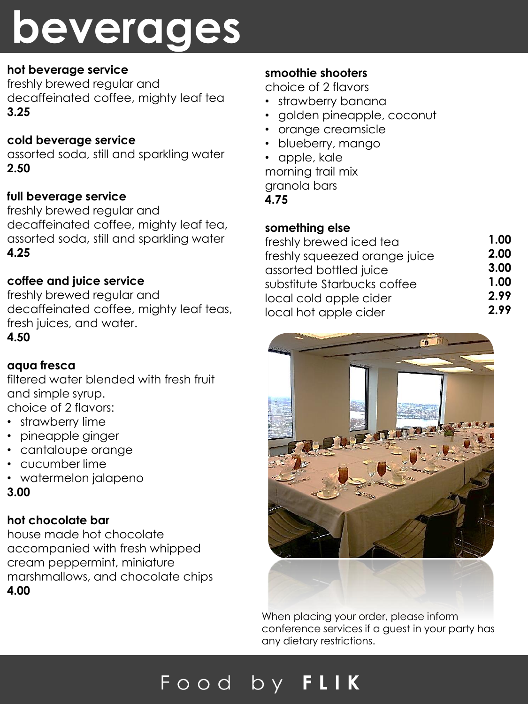## **beverages**

#### **hot beverage service**

freshly brewed regular and decaffeinated coffee, mighty leaf tea **3.25**

#### **cold beverage service**

assorted soda, still and sparkling water **2.50**

#### **full beverage service**

freshly brewed regular and decaffeinated coffee, mighty leaf tea, assorted soda, still and sparkling water **4.25**

#### **coffee and juice service**

freshly brewed regular and decaffeinated coffee, mighty leaf teas, fresh juices, and water.

#### **4.50**

#### **aqua fresca**

filtered water blended with fresh fruit and simple syrup. choice of 2 flavors:

- strawberry lime
- pineapple ginger
- cantaloupe orange
- cucumber lime
- watermelon jalapeno
- **3.00**

### **hot chocolate bar**

house made hot chocolate accompanied with fresh whipped cream peppermint, miniature marshmallows, and chocolate chips **4.00**

#### **smoothie shooters**

choice of 2 flavors

- strawberry banana
- golden pineapple, coconut
- orange creamsicle
- blueberry, mango
- apple, kale

morning trail mix granola bars

**4.75**

#### **something else**

| freshly brewed iced tea       | 1.00 |
|-------------------------------|------|
| freshly squeezed orange juice | 2.00 |
| assorted bottled juice        | 3.00 |
| substitute Starbucks coffee   | 1.00 |
| local cold apple cider        | 2.99 |
| local hot apple cider         | 2.99 |
|                               |      |



When placing your order, please inform conference services if a guest in your party has any dietary restrictions.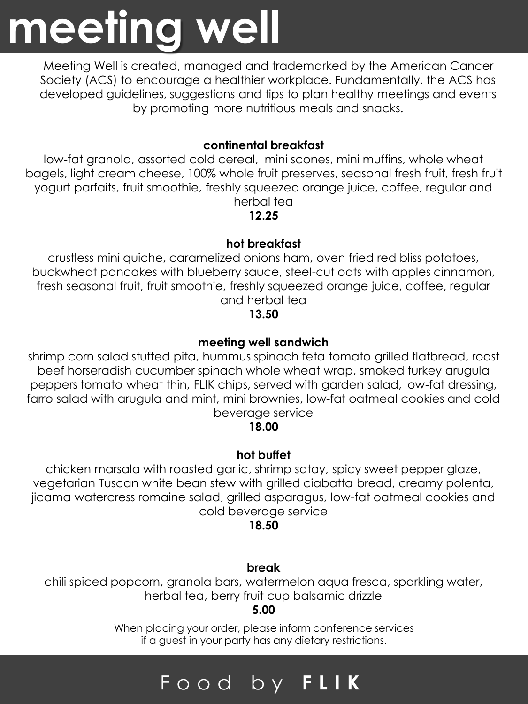## **meeting well**

Meeting Well is created, managed and trademarked by the American Cancer Society (ACS) to encourage a healthier workplace. Fundamentally, the ACS has developed guidelines, suggestions and tips to plan healthy meetings and events by promoting more nutritious meals and snacks.

#### **continental breakfast**

low-fat granola, assorted cold cereal, mini scones, mini muffins, whole wheat bagels, light cream cheese, 100% whole fruit preserves, seasonal fresh fruit, fresh fruit yogurt parfaits, fruit smoothie, freshly squeezed orange juice, coffee, regular and herbal tea

**12.25**

#### **hot breakfast**

crustless mini quiche, caramelized onions ham, oven fried red bliss potatoes, buckwheat pancakes with blueberry sauce, steel-cut oats with apples cinnamon, fresh seasonal fruit, fruit smoothie, freshly squeezed orange juice, coffee, regular and herbal tea

#### **13.50**

#### **meeting well sandwich**

shrimp corn salad stuffed pita, hummus spinach feta tomato grilled flatbread, roast beef horseradish cucumber spinach whole wheat wrap, smoked turkey arugula peppers tomato wheat thin, FLIK chips, served with garden salad, low-fat dressing, farro salad with arugula and mint, mini brownies, low-fat oatmeal cookies and cold beverage service

#### **18.00**

#### **hot buffet**

chicken marsala with roasted garlic, shrimp satay, spicy sweet pepper glaze, vegetarian Tuscan white bean stew with grilled ciabatta bread, creamy polenta, jicama watercress romaine salad, grilled asparagus, low-fat oatmeal cookies and cold beverage service

#### **18.50**

#### **break**

chili spiced popcorn, granola bars, watermelon aqua fresca, sparkling water, herbal tea, berry fruit cup balsamic drizzle

#### **5.00**

When placing your order, please inform conference services if a guest in your party has any dietary restrictions.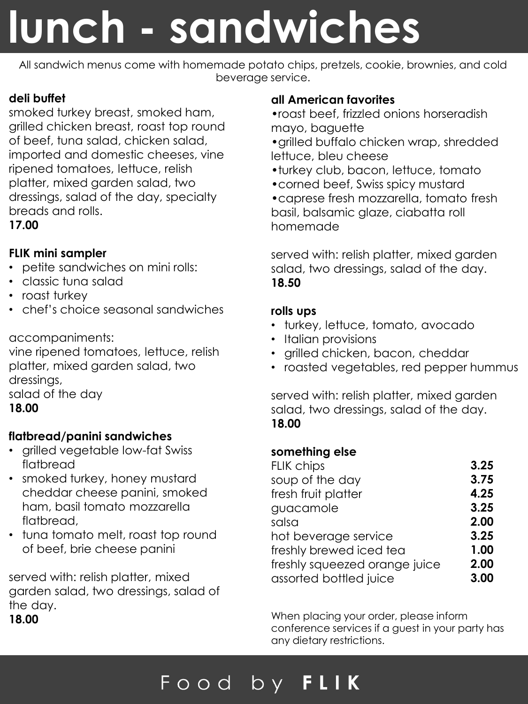## **lunch - sandwiches**

All sandwich menus come with homemade potato chips, pretzels, cookie, brownies, and cold beverage service.

### **deli buffet**

smoked turkey breast, smoked ham, grilled chicken breast, roast top round of beef, tuna salad, chicken salad, imported and domestic cheeses, vine ripened tomatoes, lettuce, relish platter, mixed garden salad, two dressings, salad of the day, specialty breads and rolls.

#### **17.00**

#### **FLIK mini sampler**

- petite sandwiches on mini rolls:
- classic tuna salad
- roast turkey
- chef's choice seasonal sandwiches

#### accompaniments:

vine ripened tomatoes, lettuce, relish platter, mixed garden salad, two dressings, salad of the day

#### **18.00**

#### **flatbread/panini sandwiches**

- grilled vegetable low-fat Swiss flatbread
- smoked turkey, honey mustard cheddar cheese panini, smoked ham, basil tomato mozzarella flatbread,
- tuna tomato melt, roast top round of beef, brie cheese panini

served with: relish platter, mixed garden salad, two dressings, salad of the day.

**18.00**

#### **all American favorites**

•roast beef, frizzled onions horseradish mayo, baguette

- •grilled buffalo chicken wrap, shredded lettuce, bleu cheese
- •turkey club, bacon, lettuce, tomato
- •corned beef, Swiss spicy mustard

•caprese fresh mozzarella, tomato fresh basil, balsamic glaze, ciabatta roll homemade

served with: relish platter, mixed garden salad, two dressings, salad of the day. **18.50**

#### **rolls ups**

- turkey, lettuce, tomato, avocado
- Italian provisions
- grilled chicken, bacon, cheddar
- roasted vegetables, red pepper hummus

served with: relish platter, mixed garden salad, two dressings, salad of the day. **18.00**

#### **something else**

| <b>FLIK chips</b>             | 3.25 |
|-------------------------------|------|
| soup of the day               | 3.75 |
| fresh fruit platter           | 4.25 |
| guacamole                     | 3.25 |
| salsa                         | 2.00 |
| hot beverage service          | 3.25 |
| freshly brewed iced tea       | 1.00 |
| freshly squeezed orange juice | 2.00 |
| assorted bottled juice        | 3.00 |

When placing your order, please inform conference services if a guest in your party has any dietary restrictions.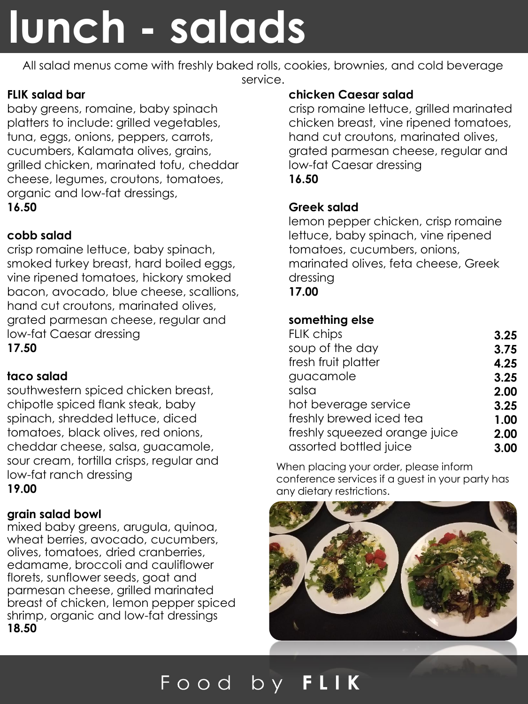## **lunch - salads**

All salad menus come with freshly baked rolls, cookies, brownies, and cold beverage service.

#### **FLIK salad bar**

baby greens, romaine, baby spinach platters to include: grilled vegetables, tuna, eggs, onions, peppers, carrots, cucumbers, Kalamata olives, grains, grilled chicken, marinated tofu, cheddar cheese, legumes, croutons, tomatoes, organic and low-fat dressings, **16.50**

#### **cobb salad**

crisp romaine lettuce, baby spinach, smoked turkey breast, hard boiled eggs, vine ripened tomatoes, hickory smoked bacon, avocado, blue cheese, scallions, hand cut croutons, marinated olives, grated parmesan cheese, regular and low-fat Caesar dressing **17.50**

#### **taco salad**

southwestern spiced chicken breast, chipotle spiced flank steak, baby spinach, shredded lettuce, diced tomatoes, black olives, red onions, cheddar cheese, salsa, guacamole, sour cream, tortilla crisps, regular and low-fat ranch dressing **19.00**

#### **grain salad bowl**

mixed baby greens, arugula, quinoa, wheat berries, avocado, cucumbers, olives, tomatoes, dried cranberries, edamame, broccoli and cauliflower florets, sunflower seeds, goat and parmesan cheese, grilled marinated breast of chicken, lemon pepper spiced shrimp, organic and low-fat dressings **18.50**

#### **chicken Caesar salad**

crisp romaine lettuce, grilled marinated chicken breast, vine ripened tomatoes, hand cut croutons, marinated olives, grated parmesan cheese, regular and low-fat Caesar dressing **16.50**

#### **Greek salad**

lemon pepper chicken, crisp romaine lettuce, baby spinach, vine ripened tomatoes, cucumbers, onions, marinated olives, feta cheese, Greek dressing

#### **17.00**

#### **something else**

| 3.25 |
|------|
| 3.75 |
| 4.25 |
| 3.25 |
| 2.00 |
| 3.25 |
| 1.00 |
| 2.00 |
| 3.00 |
|      |

When placing your order, please inform conference services if a guest in your party has any dietary restrictions.

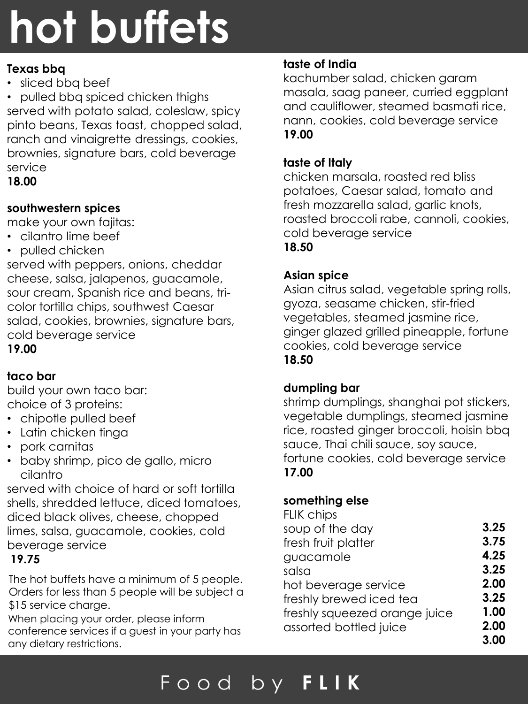## **hot buffets**

#### **Texas bbq**

• sliced bbq beef

• pulled bbq spiced chicken thighs served with potato salad, coleslaw, spicy pinto beans, Texas toast, chopped salad, ranch and vinaigrette dressings, cookies, brownies, signature bars, cold beverage service

#### **18.00**

#### **southwestern spices**

make your own fajitas:

- cilantro lime beef
- pulled chicken

served with peppers, onions, cheddar cheese, salsa, jalapenos, guacamole, sour cream, Spanish rice and beans, tricolor tortilla chips, southwest Caesar salad, cookies, brownies, signature bars, cold beverage service **19.00**

### **taco bar**

build your own taco bar: choice of 3 proteins:

- chipotle pulled beef
- Latin chicken tinga
- pork carnitas
- baby shrimp, pico de gallo, micro cilantro

served with choice of hard or soft tortilla shells, shredded lettuce, diced tomatoes, diced black olives, cheese, chopped limes, salsa, guacamole, cookies, cold beverage service

#### **19.75**

The hot buffets have a minimum of 5 people. Orders for less than 5 people will be subject a \$15 service charge.

When placing your order, please inform conference services if a guest in your party has any dietary restrictions.

#### **taste of India**

kachumber salad, chicken garam masala, saag paneer, curried eggplant and cauliflower, steamed basmati rice, nann, cookies, cold beverage service **19.00**

#### **taste of Italy**

chicken marsala, roasted red bliss potatoes, Caesar salad, tomato and fresh mozzarella salad, garlic knots, roasted broccoli rabe, cannoli, cookies, cold beverage service

#### **18.50**

#### **Asian spice**

Asian citrus salad, vegetable spring rolls, gyoza, seasame chicken, stir-fried vegetables, steamed jasmine rice, ginger glazed grilled pineapple, fortune cookies, cold beverage service **18.50**

#### **dumpling bar**

shrimp dumplings, shanghai pot stickers, vegetable dumplings, steamed jasmine rice, roasted ginger broccoli, hoisin bbq sauce, Thai chili sauce, soy sauce, fortune cookies, cold beverage service **17.00**

#### **something else**

| <b>FLIK chips</b>             |      |
|-------------------------------|------|
| soup of the day               | 3.25 |
| fresh fruit platter           | 3.75 |
| guacamole                     | 4.25 |
| salsa                         | 3.25 |
| hot beverage service          | 2.00 |
| freshly brewed iced tea       | 3.25 |
| freshly squeezed orange juice | 1.00 |
| assorted bottled juice        | 2.00 |
|                               | 3.00 |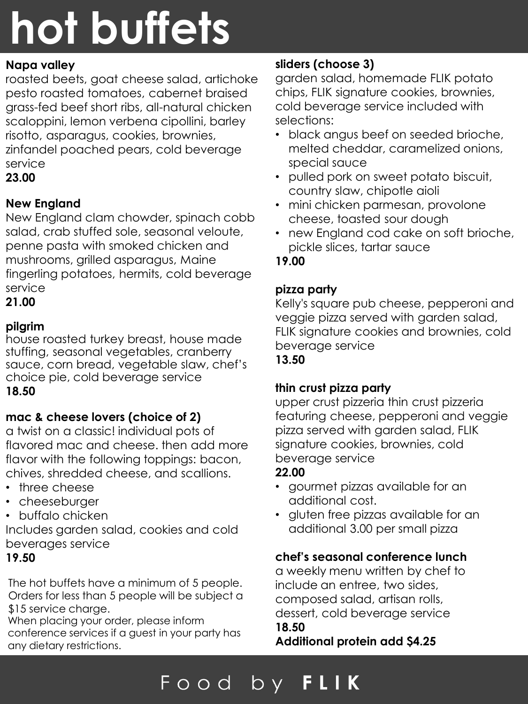# **hot buffets**

#### **Napa valley**

roasted beets, goat cheese salad, artichoke pesto roasted tomatoes, cabernet braised grass-fed beef short ribs, all-natural chicken scaloppini, lemon verbena cipollini, barley risotto, asparagus, cookies, brownies, zinfandel poached pears, cold beverage service

**23.00**

#### **New England**

New England clam chowder, spinach cobb salad, crab stuffed sole, seasonal veloute, penne pasta with smoked chicken and mushrooms, grilled asparagus, Maine fingerling potatoes, hermits, cold beverage service

**21.00**

#### **pilgrim**

house roasted turkey breast, house made stuffing, seasonal vegetables, cranberry sauce, corn bread, vegetable slaw, chef's choice pie, cold beverage service **18.50**

#### **mac & cheese lovers (choice of 2)**

a twist on a classic! individual pots of flavored mac and cheese. then add more flavor with the following toppings: bacon, chives, shredded cheese, and scallions.

- three cheese
- cheeseburger
- buffalo chicken

Includes garden salad, cookies and cold beverages service

#### **19.50**

The hot buffets have a minimum of 5 people. Orders for less than 5 people will be subject a \$15 service charge.

When placing your order, please inform conference services if a guest in your party has any dietary restrictions.

#### **sliders (choose 3)**

garden salad, homemade FLIK potato chips, FLIK signature cookies, brownies, cold beverage service included with selections:

- black angus beef on seeded brioche, melted cheddar, caramelized onions, special sauce
- pulled pork on sweet potato biscuit, country slaw, chipotle aioli
- mini chicken parmesan, provolone cheese, toasted sour dough
- new England cod cake on soft brioche, pickle slices, tartar sauce

#### **19.00**

#### **pizza party**

Kelly's square pub cheese, pepperoni and veggie pizza served with garden salad, FLIK signature cookies and brownies, cold beverage service

**13.50**

#### **thin crust pizza party**

upper crust pizzeria thin crust pizzeria featuring cheese, pepperoni and veggie pizza served with garden salad, FLIK signature cookies, brownies, cold beverage service

#### **22.00**

- gourmet pizzas available for an additional cost.
- gluten free pizzas available for an additional 3.00 per small pizza

#### **chef's seasonal conference lunch**

a weekly menu written by chef to include an entree, two sides, composed salad, artisan rolls, dessert, cold beverage service **18.50**

**Additional protein add \$4.25**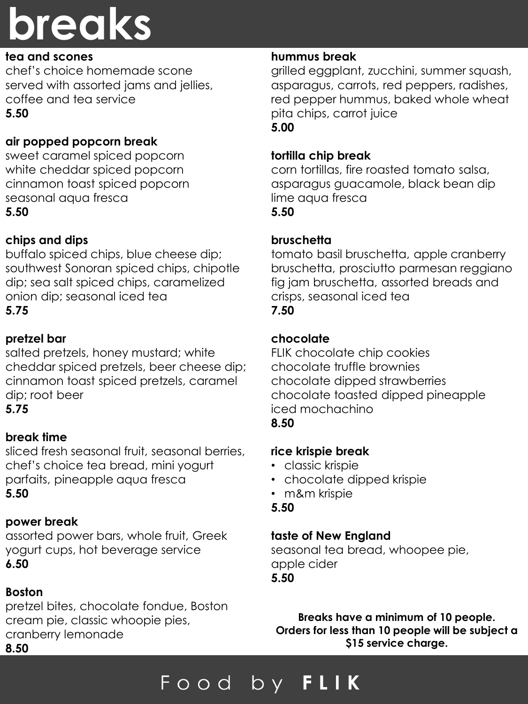## **breaks**

#### **tea and scones**

chef's choice homemade scone served with assorted jams and jellies, coffee and tea service **5.50**

#### **air popped popcorn break**

sweet caramel spiced popcorn white cheddar spiced popcorn cinnamon toast spiced popcorn seasonal aqua fresca **5.50**

#### **chips and dips**

buffalo spiced chips, blue cheese dip; southwest Sonoran spiced chips, chipotle dip; sea salt spiced chips, caramelized onion dip; seasonal iced tea **5.75**

#### **pretzel bar**

salted pretzels, honey mustard; white cheddar spiced pretzels, beer cheese dip; cinnamon toast spiced pretzels, caramel dip; root beer

**5.75**

#### **break time**

sliced fresh seasonal fruit, seasonal berries, chef's choice tea bread, mini yogurt parfaits, pineapple aqua fresca **5.50**

#### **power break**

assorted power bars, whole fruit, Greek yogurt cups, hot beverage service **6.50**

#### **Boston**

pretzel bites, chocolate fondue, Boston cream pie, classic whoopie pies, cranberry lemonade **8.50**

#### **hummus break**

grilled eggplant, zucchini, summer squash, asparagus, carrots, red peppers, radishes, red pepper hummus, baked whole wheat pita chips, carrot juice **5.00**

#### **tortilla chip break**

corn tortillas, fire roasted tomato salsa, asparagus guacamole, black bean dip lime aqua fresca **5.50**

#### **bruschetta**

tomato basil bruschetta, apple cranberry bruschetta, prosciutto parmesan reggiano fig jam bruschetta, assorted breads and crisps, seasonal iced tea **7.50**

#### **chocolate**

FLIK chocolate chip cookies chocolate truffle brownies chocolate dipped strawberries chocolate toasted dipped pineapple iced mochachino **8.50**

#### **rice krispie break**

- classic krispie
- chocolate dipped krispie
- m&m krispie
- **5.50**

#### **taste of New England**

seasonal tea bread, whoopee pie, apple cider **5.50**

**Breaks have a minimum of 10 people. Orders for less than 10 people will be subject a \$15 service charge.**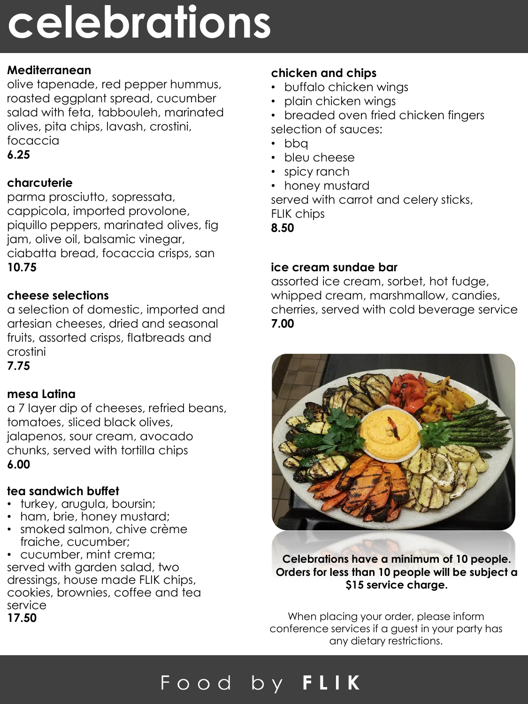## **celebrations**

#### **Mediterranean**

olive tapenade, red pepper hummus, roasted eggplant spread, cucumber salad with feta, tabbouleh, marinated olives, pita chips, lavash, crostini, focaccia

**6.25**

#### **charcuterie**

parma prosciutto, sopressata, cappicola, imported provolone, piquillo peppers, marinated olives, fig jam, olive oil, balsamic vinegar, ciabatta bread, focaccia crisps, san **10.75**

#### **cheese selections**

a selection of domestic, imported and artesian cheeses, dried and seasonal fruits, assorted crisps, flatbreads and crostini

**7.75**

#### **mesa Latina**

a 7 layer dip of cheeses, refried beans, tomatoes, sliced black olives, jalapenos, sour cream, avocado chunks, served with tortilla chips **6.00**

#### **tea sandwich buffet**

- turkey, arugula, boursin;
- ham, brie, honey mustard;
- smoked salmon, chive crème fraiche, cucumber;

• cucumber, mint crema; served with garden salad, two dressings, house made FLIK chips, cookies, brownies, coffee and tea service **17.50**

#### **chicken and chips**

- buffalo chicken wings
- plain chicken wings
- breaded oven fried chicken fingers selection of sauces:
- bbq
- bleu cheese
- spicy ranch
- honey mustard

served with carrot and celery sticks, FLIK chips

**8.50**

#### **ice cream sundae bar**

assorted ice cream, sorbet, hot fudge, whipped cream, marshmallow, candies, cherries, served with cold beverage service **7.00**



**Celebrations have a minimum of 10 people. Orders for less than 10 people will be subject a \$15 service charge.** 

When placing your order, please inform conference services if a guest in your party has any dietary restrictions.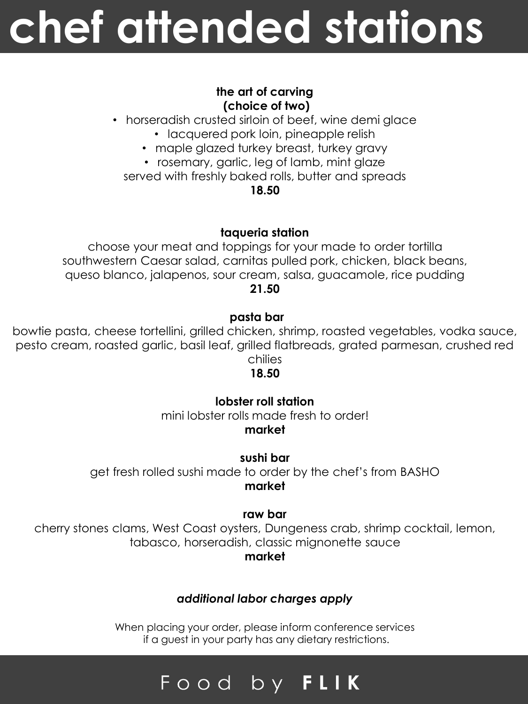## **chef attended stations**

#### **the art of carving (choice of two)**

- horseradish crusted sirloin of beef, wine demi glace
	- lacquered pork loin, pineapple relish
	- maple glazed turkey breast, turkey gravy
	- rosemary, garlic, leg of lamb, mint glaze

served with freshly baked rolls, butter and spreads

**18.50**

#### **taqueria station**

choose your meat and toppings for your made to order tortilla southwestern Caesar salad, carnitas pulled pork, chicken, black beans, queso blanco, jalapenos, sour cream, salsa, guacamole, rice pudding **21.50**

#### **pasta bar**

bowtie pasta, cheese tortellini, grilled chicken, shrimp, roasted vegetables, vodka sauce, pesto cream, roasted garlic, basil leaf, grilled flatbreads, grated parmesan, crushed red chilies

#### **18.50**

#### **lobster roll station**

mini lobster rolls made fresh to order! **market**

**sushi bar**

get fresh rolled sushi made to order by the chef's from BASHO **market**

#### **raw bar**

cherry stones clams, West Coast oysters, Dungeness crab, shrimp cocktail, lemon, tabasco, horseradish, classic mignonette sauce

#### **market**

#### *additional labor charges apply*

When placing your order, please inform conference services if a guest in your party has any dietary restrictions.